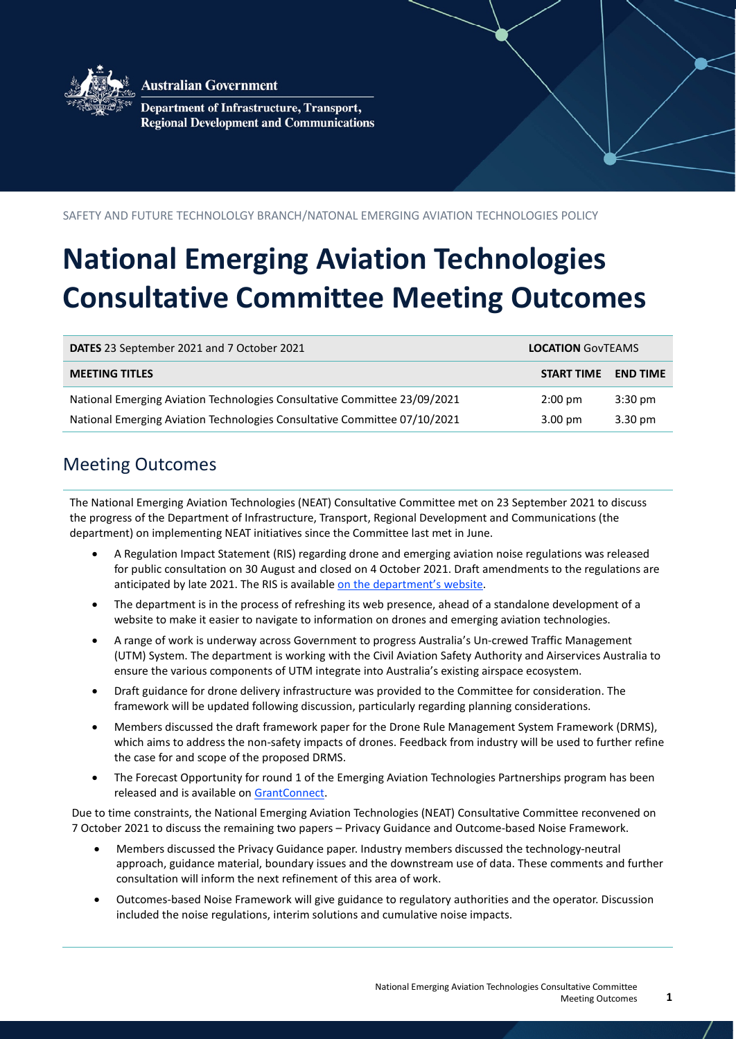

**Australian Government** 

Department of Infrastructure, Transport, **Regional Development and Communications** 

#### SAFETY AND FUTURE TECHNOLOLGY BRANCH/NATONAL EMERGING AVIATION TECHNOLOGIES POLICY

# **National Emerging Aviation Technologies Consultative Committee Meeting Outcomes**

| DATES 23 September 2021 and 7 October 2021                                | <b>LOCATION GOVTEAMS</b> |                   |
|---------------------------------------------------------------------------|--------------------------|-------------------|
| <b>MEETING TITLES</b>                                                     | START TIME               | <b>END TIME</b>   |
| National Emerging Aviation Technologies Consultative Committee 23/09/2021 | $2:00 \text{ pm}$        | $3:30$ pm         |
| National Emerging Aviation Technologies Consultative Committee 07/10/2021 | $3.00 \text{ pm}$        | $3.30 \text{ pm}$ |

### Meeting Outcomes

The National Emerging Aviation Technologies (NEAT) Consultative Committee met on 23 September 2021 to discuss the progress of the Department of Infrastructure, Transport, Regional Development and Communications (the department) on implementing NEAT initiatives since the Committee last met in June.

- A Regulation Impact Statement (RIS) regarding drone and emerging aviation noise regulations was released for public consultation on 30 August and closed on 4 October 2021. Draft amendments to the regulations are anticipated by late 2021. The RIS is available [on the department's website.](https://www.infrastructure.gov.au/infrastructure-transport-vehicles/aviation/emerging-aviation-technologies/consultation)
- The department is in the process of refreshing its web presence, ahead of a standalone development of a website to make it easier to navigate to information on drones and emerging aviation technologies.
- A range of work is underway across Government to progress Australia's Un-crewed Traffic Management (UTM) System. The department is working with the Civil Aviation Safety Authority and Airservices Australia to ensure the various components of UTM integrate into Australia's existing airspace ecosystem.
- Draft guidance for drone delivery infrastructure was provided to the Committee for consideration. The framework will be updated following discussion, particularly regarding planning considerations.
- Members discussed the draft framework paper for the Drone Rule Management System Framework (DRMS), which aims to address the non-safety impacts of drones. Feedback from industry will be used to further refine the case for and scope of the proposed DRMS.
- The Forecast Opportunity for round 1 of the Emerging Aviation Technologies Partnerships program has been released and is available on [GrantConnect.](https://www.grants.gov.au/Fo/ListResult?Page=1&ItemsPerPage=0&SearchFrom=AdvancedSearch&Type=Fo&AgencyUuid=677edfd6-fb32-31c7-1339-7c51d18cda9a&AgencyStatus=2&Keyword=EATP&KeywordTypeSearch=AllWord&Edor=July%20to%20December%202021&OrderBy=Agency)

Due to time constraints, the National Emerging Aviation Technologies (NEAT) Consultative Committee reconvened on 7 October 2021 to discuss the remaining two papers – Privacy Guidance and Outcome-based Noise Framework.

- Members discussed the Privacy Guidance paper. Industry members discussed the technology-neutral approach, guidance material, boundary issues and the downstream use of data. These comments and further consultation will inform the next refinement of this area of work.
- Outcomes-based Noise Framework will give guidance to regulatory authorities and the operator. Discussion included the noise regulations, interim solutions and cumulative noise impacts.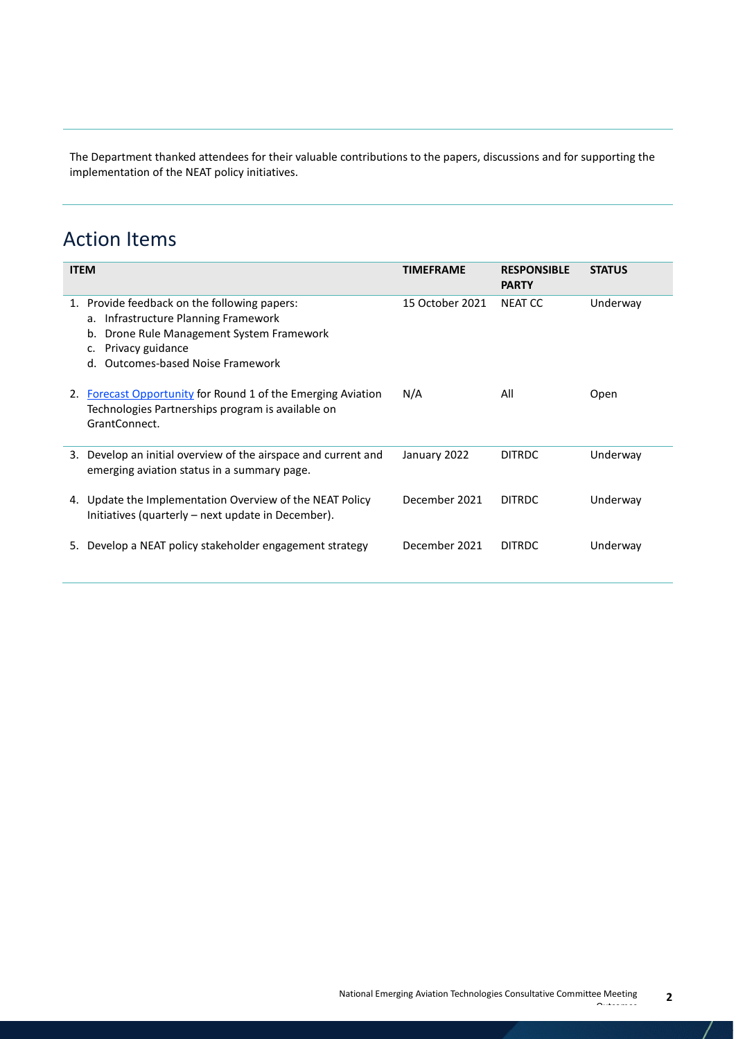The Department thanked attendees for their valuable contributions to the papers, discussions and for supporting the implementation of the NEAT policy initiatives.

## Action Items

|    | <b>ITEM</b>                                                                                                                                                                                | <b>TIMEFRAME</b> | <b>RESPONSIBLE</b><br><b>PARTY</b> | <b>STATUS</b> |
|----|--------------------------------------------------------------------------------------------------------------------------------------------------------------------------------------------|------------------|------------------------------------|---------------|
| 1. | Provide feedback on the following papers:<br>a. Infrastructure Planning Framework<br>Drone Rule Management System Framework<br>b.<br>Privacy guidance<br>d. Outcomes-based Noise Framework | 15 October 2021  | NEAT CC                            | Underway      |
| 2. | <b>Forecast Opportunity for Round 1 of the Emerging Aviation</b><br>Technologies Partnerships program is available on<br>GrantConnect.                                                     | N/A              | All                                | Open          |
| 3. | Develop an initial overview of the airspace and current and<br>emerging aviation status in a summary page.                                                                                 | January 2022     | <b>DITRDC</b>                      | Underway      |
| 4. | Update the Implementation Overview of the NEAT Policy<br>Initiatives (quarterly – next update in December).                                                                                | December 2021    | <b>DITRDC</b>                      | Underway      |
| 5. | Develop a NEAT policy stakeholder engagement strategy                                                                                                                                      | December 2021    | <b>DITRDC</b>                      | Underway      |